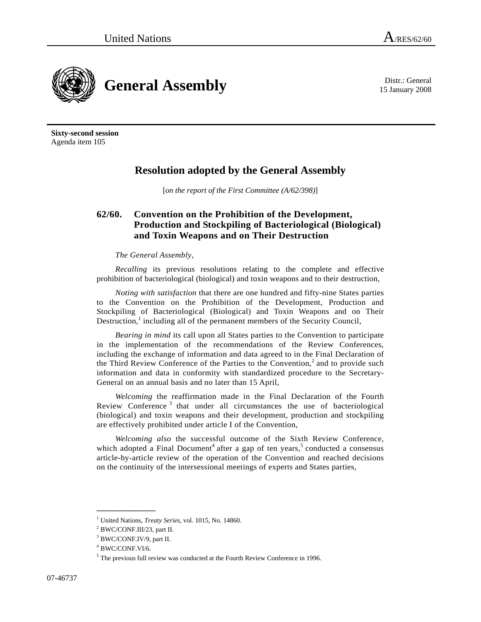15 January 2008



**Sixty-second session**  Agenda item 105

## **Resolution adopted by the General Assembly**

[*on the report of the First Committee (A/62/398)*]

## **62/60. Convention on the Prohibition of the Development, Production and Stockpiling of Bacteriological (Biological) and Toxin Weapons and on Their Destruction**

## *The General Assembly*,

*Recalling* its previous resolutions relating to the complete and effective prohibition of bacteriological (biological) and toxin weapons and to their destruction,

*Noting with satisfaction* that there are one hundred and fifty-nine States parties to the Convention on the Prohibition of the Development, Production and Stockpiling of Bacteriological (Biological) and Toxin Weapons and on Their Destruction, $<sup>1</sup>$  including all of the permanent members of the Security Council,</sup>

*Bearing in mind* its call upon all States parties to the Convention to participate in the implementation of the recommendations of the Review Conferences, including the exchange of information and data agreed to in the Final Declaration of the Third Review Conference of the Parties to the Convention,<sup>2</sup> and to provide such information and data in conformity with standardized procedure to the Secretary-General on an annual basis and no later than 15 April,

*Welcoming* the reaffirmation made in the Final Declaration of the Fourth Review Conference<sup>3</sup> that under all circumstances the use of bacteriological (biological) and toxin weapons and their development, production and stockpiling are effectively prohibited under article I of the Convention,

*Welcoming also* the successful outcome of the Sixth Review Conference, which adopted a Final Document<sup>4</sup> after a gap of ten years,<sup>5</sup> conducted a consensus article-by-article review of the operation of the Convention and reached decisions on the continuity of the intersessional meetings of experts and States parties,

**\_\_\_\_\_\_\_\_\_\_\_\_\_\_\_** 

<sup>&</sup>lt;sup>1</sup> United Nations, *Treaty Series*, vol. 1015, No. 14860.<br><sup>2</sup> BWC/CONE H1/22, port H

BWC/CONF.III/23, part II.

<sup>&</sup>lt;sup>3</sup> BWC/CONF.IV/9, part II.

<sup>4</sup> BWC/CONF.VI/6.

<sup>&</sup>lt;sup>5</sup> The previous full review was conducted at the Fourth Review Conference in 1996.